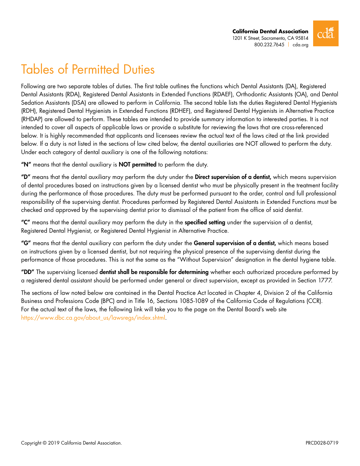

# Tables of Permitted Duties

Following are two separate tables of duties. The first table outlines the functions which Dental Assistants (DA), Registered Dental Assistants (RDA), Registered Dental Assistants in Extended Functions (RDAEF), Orthodontic Assistants (OA), and Dental Sedation Assistants (DSA) are allowed to perform in California. The second table lists the duties Registered Dental Hygienists (RDH), Registered Dental Hygienists in Extended Functions (RDHEF), and Registered Dental Hygienists in Alternative Practice (RHDAP) are allowed to perform. These tables are intended to provide summary information to interested parties. It is not intended to cover all aspects of applicable laws or provide a substitute for reviewing the laws that are cross-referenced below. It is highly recommended that applicants and licensees review the actual text of the laws cited at the link provided below. If a duty is not listed in the sections of law cited below, the dental auxiliaries are NOT allowed to perform the duty. Under each category of dental auxiliary is one of the following notations:

"N" means that the dental auxiliary is NOT permitted to perform the duty.

"D" means that the dental auxiliary may perform the duty under the Direct supervision of a dentist, which means supervision of dental procedures based on instructions given by a licensed dentist who must be physically present in the treatment facility during the performance of those procedures. The duty must be performed pursuant to the order, control and full professional responsibility of the supervising dentist. Procedures performed by Registered Dental Assistants in Extended Functions must be checked and approved by the supervising dentist prior to dismissal of the patient from the office of said dentist.

"C" means that the dental auxiliary may perform the duty in the specified setting under the supervision of a dentist, Registered Dental Hygienist, or Registered Dental Hygienist in Alternative Practice.

"G" means that the dental auxiliary can perform the duty under the General supervision of a dentist, which means based on instructions given by a licensed dentist, but not requiring the physical presence of the supervising dentist during the performance of those procedures. This is not the same as the "Without Supervision" designation in the dental hygiene table.

"DD" The supervising licensed dentist shall be responsible for determining whether each authorized procedure performed by a registered dental assistant should be performed under general or direct supervision, except as provided in Section 1777.

The sections of law noted below are contained in the Dental Practice Act located in Chapter 4, Division 2 of the California Business and Professions Code (BPC) and in Title 16, Sections 1085-1089 of the California Code of Regulations (CCR). For the actual text of the laws, the following link will take you to the page on the Dental Board's web [site](http://www.dbc.ca.gov/lawsregs/laws.shtml) [https://www.dbc.ca.gov/about\\_us/lawsregs/index.shtml.](https://www.dbc.ca.gov/about_us/lawsregs/index.shtml)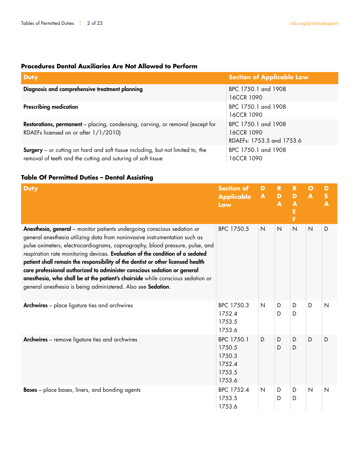# **Procedures Dental Auxiliaries Are Not Allowed to Perform**

| <b>Duty</b>                                                                                                                                            | <b>Section of Applicable Law</b>                               |
|--------------------------------------------------------------------------------------------------------------------------------------------------------|----------------------------------------------------------------|
| Diagnosis and comprehensive treatment planning                                                                                                         | BPC 1750.1 and 1908<br>16CCR 1090                              |
| <b>Prescribing medication</b>                                                                                                                          | BPC 1750.1 and 1908<br>16CCR 1090                              |
| Restorations, permanent - placing, condensing, carving, or removal (except for<br>RDAEFs licensed on or after 1/1/2010)                                | BPC 1750.1 and 1908<br>16CCR 1090<br>RDAEFs: 1753.5 and 1753.6 |
| <b>Surgery</b> – or cutting on hard and soft tissue including, but not limited to, the<br>removal of teeth and the cutting and suturing of soft tissue | BPC 1750.1 and 1908<br>16CCR 1090                              |

## **Table Of Permitted Duties – Dental Assisting**

| <b>Duty</b>                                                                                                                                                                                                                                                                                                                                                                                                                                                                                                                                                                                                                              | <b>Section of</b><br><b>Applicable</b><br>Law                | D<br>$\blacksquare$ | $\mathbf R$<br>D<br>$\blacktriangle$ | $\mathbf R$<br>D<br>$\boldsymbol{\mathsf{A}}$<br>E<br>Ë | $\mathbf{o}$<br>$\blacktriangle$ | D<br>$\mathsf{s}$<br>A |
|------------------------------------------------------------------------------------------------------------------------------------------------------------------------------------------------------------------------------------------------------------------------------------------------------------------------------------------------------------------------------------------------------------------------------------------------------------------------------------------------------------------------------------------------------------------------------------------------------------------------------------------|--------------------------------------------------------------|---------------------|--------------------------------------|---------------------------------------------------------|----------------------------------|------------------------|
| Anesthesia, general - monitor patients undergoing conscious sedation or<br>general anesthesia utilizing data from noninvasive instrumentation such as<br>pulse oximeters, electrocardiograms, capnography, blood pressure, pulse, and<br>respiration rate monitoring devices. Evaluation of the condition of a sedated<br>patient shall remain the responsibility of the dentist or other licensed health<br>care professional authorized to administer conscious sedation or general<br>anesthesia, who shall be at the patient's chairside while conscious sedation or<br>general anesthesia is being administered. Also see Sedation. | BPC 1750.5                                                   | $\overline{N}$      | N                                    | N                                                       | N                                | D                      |
| <b>Archwires</b> - place ligature ties and archwires                                                                                                                                                                                                                                                                                                                                                                                                                                                                                                                                                                                     | BPC 1750.3<br>1752.4<br>1753.5<br>1753.6                     | $\overline{N}$      | D<br>D                               | D<br>D                                                  | D                                | $\mathsf{N}$           |
| <b>Archwires</b> - remove ligature ties and archwires                                                                                                                                                                                                                                                                                                                                                                                                                                                                                                                                                                                    | BPC 1750.1<br>1750.5<br>1750.3<br>1752.4<br>1753.5<br>1753.6 | D                   | D<br>D                               | D<br>D                                                  | D                                | D                      |
| <b>Bases</b> – place bases, liners, and bonding agents                                                                                                                                                                                                                                                                                                                                                                                                                                                                                                                                                                                   | BPC 1752.4<br>1753.5<br>1753.6                               | $\mathsf{N}$        | D<br>D                               | D<br>D                                                  | N                                | $\mathsf{N}$           |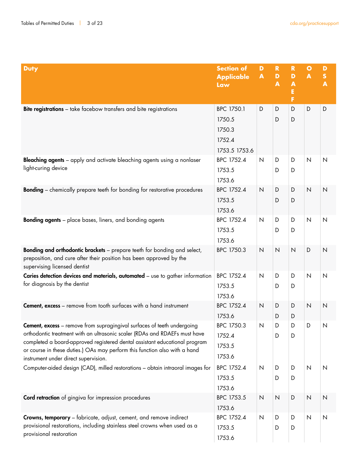| <b>Duty</b>                                                                                                                                                                                                                                                                                                                                                      | <b>Section of</b><br><b>Applicable</b><br>Law             | D<br>$\blacktriangle$ | $\mathbf R$<br>$\mathbf{D}$<br>A | $\mathbf R$<br>D<br>$\blacktriangle$<br>E<br>F | $\circ$<br>$\blacktriangle$ | D<br>$\boldsymbol{\mathsf{S}}$<br>$\blacktriangle$ |
|------------------------------------------------------------------------------------------------------------------------------------------------------------------------------------------------------------------------------------------------------------------------------------------------------------------------------------------------------------------|-----------------------------------------------------------|-----------------------|----------------------------------|------------------------------------------------|-----------------------------|----------------------------------------------------|
| Bite registrations - take facebow transfers and bite registrations                                                                                                                                                                                                                                                                                               | BPC 1750.1<br>1750.5<br>1750.3<br>1752.4<br>1753.5 1753.6 | D                     | D<br>D                           | D<br>D                                         | D                           | D                                                  |
| Bleaching agents - apply and activate bleaching agents using a nonlaser<br>light-curing device                                                                                                                                                                                                                                                                   | BPC 1752.4<br>1753.5<br>1753.6                            | $\mathsf{N}$          | D<br>D                           | D<br>D                                         | $\mathsf{N}$                | N                                                  |
| <b>Bonding</b> - chemically prepare teeth for bonding for restorative procedures                                                                                                                                                                                                                                                                                 | BPC 1752.4<br>1753.5<br>1753.6                            | $\mathsf{N}$          | D<br>D                           | D<br>D                                         | $\mathsf{N}$                | $\overline{\mathsf{N}}$                            |
| <b>Bonding agents</b> - place bases, liners, and bonding agents                                                                                                                                                                                                                                                                                                  | BPC 1752.4<br>1753.5<br>1753.6                            | $\mathsf{N}$          | D<br>D                           | D<br>D                                         | $\mathsf{N}$                | $\mathsf{N}$                                       |
| Bonding and orthodontic brackets - prepare teeth for bonding and select,<br>preposition, and cure after their position has been approved by the<br>supervising licensed dentist                                                                                                                                                                                  | BPC 1750.3                                                | $\overline{N}$        | $\overline{N}$                   | $\mathsf{N}$                                   | D                           | $\overline{\mathsf{N}}$                            |
| Caries detection devices and materials, automated - use to gather information<br>for diagnosis by the dentist                                                                                                                                                                                                                                                    | BPC 1752.4<br>1753.5<br>1753.6                            | $\mathsf{N}$          | D<br>D                           | D<br>D                                         | $\mathsf{N}$                | $\mathsf{N}\xspace$                                |
| <b>Cement, excess</b> – remove from tooth surfaces with a hand instrument                                                                                                                                                                                                                                                                                        | BPC 1752.4<br>1753.6                                      | $\overline{N}$        | D<br>D                           | D<br>D                                         | $\overline{N}$              | $\mathsf N$                                        |
| <b>Cement, excess</b> – remove from supragingival surfaces of teeth undergoing<br>orthodontic treatment with an ultrasonic scaler (RDAs and RDAEFs must have<br>completed a board-approved registered dental assistant educational program<br>or course in these duties.) OAs may perform this function also with a hand<br>instrument under direct supervision. | BPC 1750.3<br>1752.4<br>1753.5<br>1753.6                  | N                     | D<br>D                           | D<br>D                                         | D                           | N                                                  |
| Computer-aided design (CAD), milled restorations - obtain intraoral images for                                                                                                                                                                                                                                                                                   | BPC 1752.4<br>1753.5<br>1753.6                            | $\mathsf{N}$          | D<br>D                           | D<br>D                                         | N                           | $\mathsf{N}$                                       |
| <b>Cord retraction</b> of gingiva for impression procedures                                                                                                                                                                                                                                                                                                      | BPC 1753.5<br>1753.6                                      | $\mathsf N$           | $\mathsf{N}$                     | D                                              | $\mathsf{N}$                | $\mathsf{N}$                                       |
| <b>Crowns, temporary</b> – fabricate, adjust, cement, and remove indirect<br>provisional restorations, including stainless steel crowns when used as a<br>provisional restoration                                                                                                                                                                                | BPC 1752.4<br>1753.5<br>1753.6                            | $\mathsf{N}$          | D<br>D                           | D<br>D                                         | $\mathsf{N}$                | $\mathsf{N}$                                       |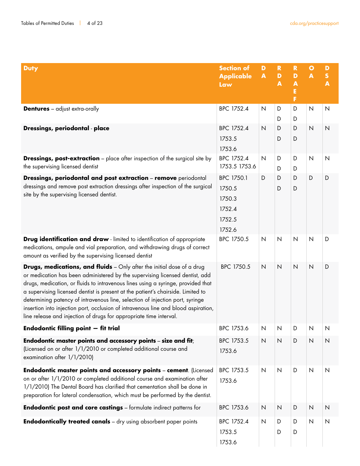| <b>Duty</b>                                                                                                                                                                                                                                                                                                                                                                                                                                                                                                                                                                        | <b>Section of</b><br><b>Applicable</b><br>Law | D<br>$\blacktriangle$ | $\mathbf R$<br>D<br>$\blacktriangle$ | $\mathbf R$<br>D<br>$\blacktriangle$<br>E<br>F | $\bullet$<br>$\blacktriangle$ | D<br>${\sf s}$<br>$\overline{\mathbf{A}}$ |
|------------------------------------------------------------------------------------------------------------------------------------------------------------------------------------------------------------------------------------------------------------------------------------------------------------------------------------------------------------------------------------------------------------------------------------------------------------------------------------------------------------------------------------------------------------------------------------|-----------------------------------------------|-----------------------|--------------------------------------|------------------------------------------------|-------------------------------|-------------------------------------------|
| <b>Dentures</b> - adjust extra-orally                                                                                                                                                                                                                                                                                                                                                                                                                                                                                                                                              | BPC 1752.4                                    | N                     | D                                    | D                                              | $\mathsf{N}$                  | N                                         |
|                                                                                                                                                                                                                                                                                                                                                                                                                                                                                                                                                                                    |                                               |                       | D                                    | D                                              |                               |                                           |
| Dressings, periodontal - place                                                                                                                                                                                                                                                                                                                                                                                                                                                                                                                                                     | BPC 1752.4<br>1753.5                          | $\mathsf{N}$          | D<br>D                               | D<br>D                                         | $\overline{\mathsf{N}}$       | $\overline{\mathsf{N}}$                   |
|                                                                                                                                                                                                                                                                                                                                                                                                                                                                                                                                                                                    | 1753.6                                        |                       |                                      |                                                |                               |                                           |
| <b>Dressings, post-extraction</b> - place after inspection of the surgical site by                                                                                                                                                                                                                                                                                                                                                                                                                                                                                                 | BPC 1752.4                                    | $\mathsf{N}$          | D                                    | D                                              | $\mathsf{N}$                  | $\overline{\mathsf{N}}$                   |
| the supervising licensed dentist                                                                                                                                                                                                                                                                                                                                                                                                                                                                                                                                                   | 1753.5 1753.6                                 |                       | D                                    | D                                              |                               |                                           |
| Dressings, periodontal and post extraction - remove periodontal                                                                                                                                                                                                                                                                                                                                                                                                                                                                                                                    | BPC 1750.1                                    | D                     | D                                    | D                                              | D                             | D                                         |
| dressings and remove post extraction dressings after inspection of the surgical                                                                                                                                                                                                                                                                                                                                                                                                                                                                                                    | 1750.5                                        |                       | D                                    | D                                              |                               |                                           |
| site by the supervising licensed dentist.                                                                                                                                                                                                                                                                                                                                                                                                                                                                                                                                          | 1750.3                                        |                       |                                      |                                                |                               |                                           |
|                                                                                                                                                                                                                                                                                                                                                                                                                                                                                                                                                                                    | 1752.4                                        |                       |                                      |                                                |                               |                                           |
|                                                                                                                                                                                                                                                                                                                                                                                                                                                                                                                                                                                    | 1752.5                                        |                       |                                      |                                                |                               |                                           |
|                                                                                                                                                                                                                                                                                                                                                                                                                                                                                                                                                                                    | 1752.6                                        |                       |                                      |                                                |                               |                                           |
| Drug identification and draw - limited to identification of appropriate<br>medications, ampule and vial preparation, and withdrawing drugs of correct<br>amount as verified by the supervising licensed dentist                                                                                                                                                                                                                                                                                                                                                                    | BPC 1750.5                                    | $\mathsf{N}$          | $\mathsf{N}$                         | $\mathsf{N}$                                   | $\mathsf{N}$                  | D                                         |
| <b>Drugs, medications, and fluids</b> - Only after the initial dose of a drug<br>or medication has been administered by the supervising licensed dentist, add<br>drugs, medication, or fluids to intravenous lines using a syringe, provided that<br>a supervising licensed dentist is present at the patient's chairside. Limited to<br>determining patency of intravenous line, selection of injection port, syringe<br>insertion into injection port, occlusion of intravenous line and blood aspiration,<br>line release and injection of drugs for appropriate time interval. | BPC 1750.5                                    | $\overline{N}$        | $\mathsf{N}$                         | $\mathsf{N}$                                   | $\mathsf{N}$                  | D                                         |
| Endodontic filling point - fit trial                                                                                                                                                                                                                                                                                                                                                                                                                                                                                                                                               | BPC 1753.6                                    | N                     | N                                    | D                                              | N                             | N                                         |
| Endodontic master points and accessory points - size and fit;<br>(Licensed on or after 1/1/2010 or completed additional course and<br>examination after 1/1/2010)                                                                                                                                                                                                                                                                                                                                                                                                                  | BPC 1753.5<br>1753.6                          | N                     | $\mathsf{N}$                         | D                                              | $\overline{\mathsf{N}}$       | $\overline{\mathsf{N}}$                   |
| Endodontic master points and accessory points - cement. (Licensed<br>on or after 1/1/2010 or completed additional course and examination after<br>1/1/2010) The Dental Board has clarified that cementation shall be done in<br>preparation for lateral condensation, which must be performed by the dentist.                                                                                                                                                                                                                                                                      | BPC 1753.5<br>1753.6                          | $\overline{N}$        | $\mathsf{N}$                         | D                                              | $\mathsf N$                   | $\mathsf{N}$                              |
| <b>Endodontic post and core castings</b> - formulate indirect patterns for                                                                                                                                                                                                                                                                                                                                                                                                                                                                                                         | BPC 1753.6                                    | $\mathsf{N}$          | $\mathsf{N}$                         | D                                              | $\overline{\mathsf{N}}$       | $\overline{\mathsf{N}}$                   |
| <b>Endodontically treated canals</b> - dry using absorbent paper points                                                                                                                                                                                                                                                                                                                                                                                                                                                                                                            | BPC 1752.4                                    | $\mathsf N$           | D                                    | D                                              | $\mathsf N$                   | $\overline{\mathsf{N}}$                   |
|                                                                                                                                                                                                                                                                                                                                                                                                                                                                                                                                                                                    | 1753.5                                        |                       | D                                    | D                                              |                               |                                           |
|                                                                                                                                                                                                                                                                                                                                                                                                                                                                                                                                                                                    | 1753.6                                        |                       |                                      |                                                |                               |                                           |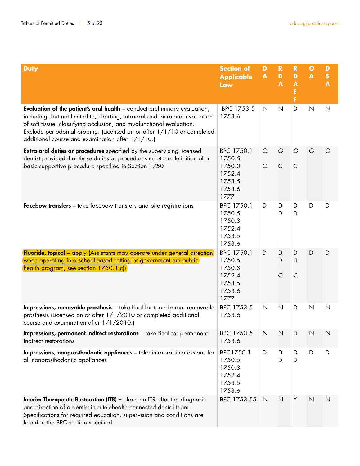| <b>Duty</b>                                                                                                                                                                                                                                                                                                                                                            | <b>Section of</b><br><b>Applicable</b><br>Law                        | D<br>$\blacktriangle$ | $\mathbf R$<br>$\mathbf D$<br>$\blacktriangle$ | $\mathbf R$<br>D<br>$\blacktriangle$<br>Ė<br>F | $\mathbf{o}$<br>$\blacktriangle$ | D<br>$\mathbf S$<br>$\overline{\mathbf{A}}$ |
|------------------------------------------------------------------------------------------------------------------------------------------------------------------------------------------------------------------------------------------------------------------------------------------------------------------------------------------------------------------------|----------------------------------------------------------------------|-----------------------|------------------------------------------------|------------------------------------------------|----------------------------------|---------------------------------------------|
| <b>Evaluation of the patient's oral health</b> – conduct preliminary evaluation,<br>including, but not limited to, charting, intraoral and extra-oral evaluation<br>of soft tissue, classifying occlusion, and myofunctional evaluation.<br>Exclude periodontal probing. (Licensed on or after 1/1/10 or completed<br>additional course and examination after 1/1/10.) | BPC 1753.5<br>1753.6                                                 | $\mathsf{N}$          | N                                              | D                                              | $\mathsf{N}$                     | $\mathsf{N}$                                |
| <b>Extra-oral duties or procedures</b> specified by the supervising licensed<br>dentist provided that these duties or procedures meet the definition of a<br>basic supportive procedure specified in Section 1750                                                                                                                                                      | BPC 1750.1<br>1750.5<br>1750.3<br>1752.4<br>1753.5<br>1753.6<br>1777 | G<br>$\mathsf{C}$     | G<br>$\mathsf{C}$                              | G<br>$\subset$                                 | G                                | G                                           |
| Facebow transfers - take facebow transfers and bite registrations                                                                                                                                                                                                                                                                                                      | BPC 1750.1<br>1750.5<br>1750.3<br>1752.4<br>1753.5<br>1753.6         | D                     | D<br>D                                         | D<br>D                                         | D                                | D                                           |
| <b>Fluoride, topical</b> - apply (Assistants may operate under general direction)<br>when operating in a school-based setting or government run public<br>health program, see section 1750.1(c))                                                                                                                                                                       | BPC 1750.1<br>1750.5<br>1750.3<br>1752.4<br>1753.5<br>1753.6<br>1777 | D                     | D<br>D<br>$\mathsf{C}$                         | D<br>D<br>$\subset$                            | D                                | D                                           |
| Impressions, removable prosthesis - take final for tooth-borne, removable<br>prosthesis (Licensed on or after 1/1/2010 or completed additional<br>course and examination after 1/1/2010.)                                                                                                                                                                              | BPC 1753.5<br>1753.6                                                 | $\mathsf{N}$          | $\overline{\mathsf{N}}$                        | D                                              | $\mathsf{N}$                     | $\mathsf{N}$                                |
| <b>Impressions, permanent indirect restorations</b> – take final for permanent<br>indirect restorations                                                                                                                                                                                                                                                                | BPC 1753.5<br>1753.6                                                 | $\mathsf{N}$          | $\overline{\mathsf{N}}$                        | D                                              | N                                | N                                           |
| <b>Impressions, nonprosthodontic appliances</b> - take intraoral impressions for<br>all nonprosthodontic appliances                                                                                                                                                                                                                                                    | BPC1750.1<br>1750.5<br>1750.3<br>1752.4<br>1753.5<br>1753.6          | D                     | D<br>D                                         | D<br>D                                         | D                                | D                                           |
| <b>Interim Therapeutic Restoration (ITR)</b> - place an ITR after the diagnosis<br>and direction of a dentist in a telehealth connected dental team.<br>Specifications for required education, supervision and conditions are<br>found in the BPC section specified.                                                                                                   | BPC 1753.55                                                          | $\mathsf{N}$          | $\overline{\mathsf{N}}$                        | Y                                              | $\mathsf{N}$                     | $\overline{\mathsf{N}}$                     |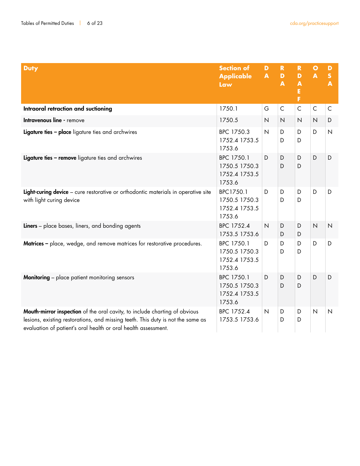| <b>Duty</b>                                                                                                                                                                                                                     | <b>Section of</b><br><b>Applicable</b><br>Law          | D<br>$\blacktriangle$ | $\mathbf R$<br>$\mathbf{D}$<br>$\blacktriangle$ | $\mathbf R$<br>D<br>$\overline{\mathbf{A}}$<br>E<br>F | $\bullet$<br>$\blacktriangle$ | D<br>$\mathsf{s}$<br>$\blacktriangle$ |
|---------------------------------------------------------------------------------------------------------------------------------------------------------------------------------------------------------------------------------|--------------------------------------------------------|-----------------------|-------------------------------------------------|-------------------------------------------------------|-------------------------------|---------------------------------------|
| Intraoral retraction and suctioning                                                                                                                                                                                             | 1750.1                                                 | G                     | $\mathsf C$                                     | $\mathsf{C}$                                          | $\mathsf C$                   | $\mathsf{C}$                          |
| Intravenous line - remove                                                                                                                                                                                                       | 1750.5                                                 | $\mathsf{N}$          | $\mathsf N$                                     | $\overline{\mathsf{N}}$                               | $\overline{N}$                | D                                     |
| Ligature ties - place ligature ties and archwires                                                                                                                                                                               | BPC 1750.3<br>1752.4 1753.5<br>1753.6                  | $\mathsf{N}$          | D<br>D                                          | D<br>D                                                | D                             | $\mathsf{N}$                          |
| Ligature ties - remove ligature ties and archwires                                                                                                                                                                              | BPC 1750.1<br>1750.5 1750.3<br>1752.4 1753.5<br>1753.6 | D                     | D<br>D                                          | D<br>D                                                | D                             | D                                     |
| Light-curing device - cure restorative or orthodontic materials in operative site<br>with light curing device                                                                                                                   | BPC1750.1<br>1750.5 1750.3<br>1752.4 1753.5<br>1753.6  | D                     | D<br>D                                          | D<br>D                                                | D                             | D                                     |
| Liners - place bases, liners, and bonding agents                                                                                                                                                                                | BPC 1752.4<br>1753.5 1753.6                            | $\mathsf N$           | D<br>D                                          | D<br>D                                                | $\mathsf N$                   | $\mathsf N$                           |
| Matrices - place, wedge, and remove matrices for restorative procedures.                                                                                                                                                        | BPC 1750.1<br>1750.5 1750.3<br>1752.4 1753.5<br>1753.6 | D                     | D<br>D                                          | D<br>D                                                | D                             | D                                     |
| <b>Monitoring</b> - place patient monitoring sensors                                                                                                                                                                            | BPC 1750.1<br>1750.5 1750.3<br>1752.4 1753.5<br>1753.6 | D                     | D<br>D                                          | D<br>D                                                | D                             | D                                     |
| Mouth-mirror inspection of the oral cavity, to include charting of obvious<br>lesions, existing restorations, and missing teeth. This duty is not the same as<br>evaluation of patient's oral health or oral health assessment. | BPC 1752.4<br>1753.5 1753.6                            | $\mathsf{N}$          | D<br>D                                          | D<br>D                                                | $\overline{N}$                | $\mathsf{N}$                          |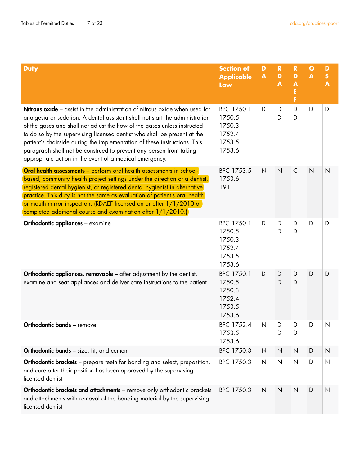| <b>Duty</b>                                                                                                                                                                                                                                                                                                                                                                                                                                                                                                                               | <b>Section of</b><br><b>Applicable</b><br>Law                | D<br>$\blacktriangle$ | $\mathbf R$<br>D<br>A | $\mathbf R$<br>D<br>$\blacktriangle$<br>Е<br>F | $\bullet$<br>$\blacktriangle$ | D<br>$\boldsymbol{\mathsf{S}}$<br>$\overline{\mathbf{A}}$ |
|-------------------------------------------------------------------------------------------------------------------------------------------------------------------------------------------------------------------------------------------------------------------------------------------------------------------------------------------------------------------------------------------------------------------------------------------------------------------------------------------------------------------------------------------|--------------------------------------------------------------|-----------------------|-----------------------|------------------------------------------------|-------------------------------|-----------------------------------------------------------|
| <b>Nitrous oxide</b> – assist in the administration of nitrous oxide when used for<br>analgesia or sedation. A dental assistant shall not start the administration<br>of the gases and shall not adjust the flow of the gases unless instructed<br>to do so by the supervising licensed dentist who shall be present at the<br>patient's chairside during the implementation of these instructions. This<br>paragraph shall not be construed to prevent any person from taking<br>appropriate action in the event of a medical emergency. | BPC 1750.1<br>1750.5<br>1750.3<br>1752.4<br>1753.5<br>1753.6 | D                     | D<br>D                | D<br>D                                         | D                             | D                                                         |
| Oral health assessments - perform oral health assessments in school-<br>based, community health project settings under the direction of a dentist,<br>registered dental hygienist, or registered dental hygienist in alternative<br>practice. This duty is not the same as evaluation of patient's oral health<br>or mouth mirror inspection. (RDAEF licensed on or after 1/1/2010 or<br>completed additional course and examination after 1/1/2010.)                                                                                     | BPC 1753.5<br>1753.6<br>1911                                 | $\mathsf{N}$          | $\overline{N}$        | $\mathsf C$                                    | $\overline{N}$                | $\mathsf{N}$                                              |
| <b>Orthodontic appliances - examine</b>                                                                                                                                                                                                                                                                                                                                                                                                                                                                                                   | BPC 1750.1<br>1750.5<br>1750.3<br>1752.4<br>1753.5<br>1753.6 | D                     | D<br>D                | D<br>D                                         | D                             | D                                                         |
| Orthodontic appliances, removable - after adjustment by the dentist,<br>examine and seat appliances and deliver care instructions to the patient                                                                                                                                                                                                                                                                                                                                                                                          | BPC 1750.1<br>1750.5<br>1750.3<br>1752.4<br>1753.5<br>1753.6 | D                     | D<br>D                | D<br>D                                         | D                             | D                                                         |
| <b>Orthodontic bands</b> - remove                                                                                                                                                                                                                                                                                                                                                                                                                                                                                                         | BPC 1752.4<br>1753.5<br>1753.6                               | $\mathsf{N}$          | D<br>D                | D<br>D                                         | D                             | N                                                         |
| Orthodontic bands - size, fit, and cement                                                                                                                                                                                                                                                                                                                                                                                                                                                                                                 | BPC 1750.3                                                   | $\mathsf{N}$          | $\mathsf N$           | $\mathsf{N}$                                   | D                             | $\mathsf N$                                               |
| Orthodontic brackets - prepare teeth for bonding and select, preposition,<br>and cure after their position has been approved by the supervising<br>licensed dentist                                                                                                                                                                                                                                                                                                                                                                       | BPC 1750.3                                                   | $\mathsf{N}$          | $\mathsf{N}$          | $\mathsf{N}$                                   | D                             | $\mathsf{N}$                                              |
| Orthodontic brackets and attachments - remove only orthodontic brackets<br>and attachments with removal of the bonding material by the supervising<br>licensed dentist                                                                                                                                                                                                                                                                                                                                                                    | BPC 1750.3                                                   | $\mathsf{N}$          | $\mathsf{N}$          | $\mathsf{N}$                                   | D                             | $\mathsf{N}$                                              |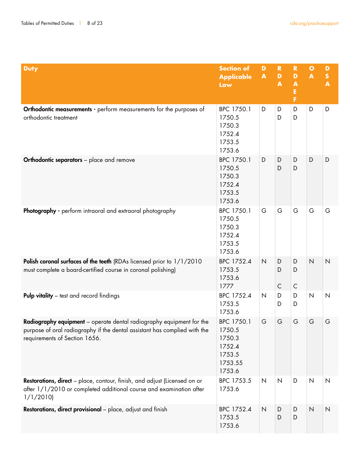| <b>Duty</b>                                                                                                                                                                        | <b>Section of</b><br><b>Applicable</b><br>Law                           | D<br>$\blacktriangle$ | $\mathbf R$<br>$\mathbf D$<br>$\blacktriangle$ | $\mathbf R$<br>D<br>$\blacktriangle$<br>Ė<br>F | $\bullet$<br>$\blacktriangle$ | D<br>$\boldsymbol{\mathsf{S}}$<br>$\overline{\mathbf{A}}$ |
|------------------------------------------------------------------------------------------------------------------------------------------------------------------------------------|-------------------------------------------------------------------------|-----------------------|------------------------------------------------|------------------------------------------------|-------------------------------|-----------------------------------------------------------|
| <b>Orthodontic measurements -</b> perform measurements for the purposes of<br>orthodontic treatment                                                                                | BPC 1750.1<br>1750.5<br>1750.3<br>1752.4<br>1753.5<br>1753.6            | D                     | D<br>D                                         | D<br>D                                         | D                             | D                                                         |
| <b>Orthodontic separators</b> - place and remove                                                                                                                                   | BPC 1750.1<br>1750.5<br>1750.3<br>1752.4<br>1753.5<br>1753.6            | D                     | D<br>D                                         | D<br>D                                         | D                             | D                                                         |
| Photography - perform intraoral and extraoral photography                                                                                                                          | BPC 1750.1<br>1750.5<br>1750.3<br>1752.4<br>1753.5<br>1753.6            | G                     | G                                              | G                                              | G                             | G                                                         |
| Polish coronal surfaces of the teeth (RDAs licensed prior to 1/1/2010<br>must complete a board-certified course in coronal polishing)                                              | BPC 1752.4<br>1753.5<br>1753.6<br>1777                                  | $\mathsf{N}$          | D<br>D<br>$\mathsf{C}$                         | D<br>D<br>$\mathsf C$                          | $\mathsf{N}$                  | $\overline{N}$                                            |
| <b>Pulp vitality</b> – test and record findings                                                                                                                                    | BPC 1752.4<br>1753.5<br>1753.6                                          | $\mathsf{N}$          | D<br>D                                         | D<br>D                                         | $\mathsf{N}$                  | $\mathsf{N}$                                              |
| Radiography equipment - operate dental radiography equipment for the<br>purpose of oral radiography if the dental assistant has complied with the<br>requirements of Section 1656. | BPC 1750.1<br>1750.5<br>1750.3<br>1752.4<br>1753.5<br>1753.55<br>1753.6 | G                     | G                                              | G                                              | G                             | G                                                         |
| <b>Restorations, direct</b> – place, contour, finish, and adjust (Licensed on or<br>after 1/1/2010 or completed additional course and examination after<br>1/1/2010                | BPC 1753.5<br>1753.6                                                    | $\mathsf{N}\xspace$   | $\mathsf{N}\xspace$                            | D                                              | $\overline{N}$                | $\mathsf{N}$                                              |
| Restorations, direct provisional - place, adjust and finish                                                                                                                        | BPC 1752.4<br>1753.5<br>1753.6                                          | $\mathsf{N}\xspace$   | D<br>D                                         | D<br>D                                         | $\mathsf{N}$                  | $\mathsf{N}$                                              |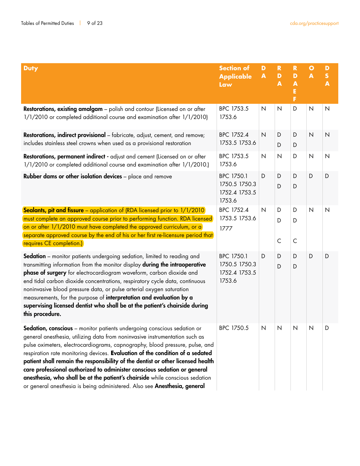| <b>Duty</b>                                                                                                                                                                                                                                                                                                                                                                                                                                                                                                                                                                                                                                         | <b>Section of</b><br><b>Applicable</b><br>Law          | D<br>$\blacktriangle$ | $\mathbf R$<br>$\mathbf D$<br>A | $\mathbf R$<br>D<br>$\blacktriangle$<br>E<br>F | $\mathbf{o}$<br>$\blacktriangle$ | D<br>$\mathsf{s}$<br>$\overline{\mathbf{A}}$ |
|-----------------------------------------------------------------------------------------------------------------------------------------------------------------------------------------------------------------------------------------------------------------------------------------------------------------------------------------------------------------------------------------------------------------------------------------------------------------------------------------------------------------------------------------------------------------------------------------------------------------------------------------------------|--------------------------------------------------------|-----------------------|---------------------------------|------------------------------------------------|----------------------------------|----------------------------------------------|
| <b>Restorations, existing amalgam</b> - polish and contour (Licensed on or after<br>1/1/2010 or completed additional course and examination after 1/1/2010)                                                                                                                                                                                                                                                                                                                                                                                                                                                                                         | BPC 1753.5<br>1753.6                                   | $\mathsf{N}$          | N                               | D                                              | $\mathsf{N}$                     | $\mathsf{N}$                                 |
| Restorations, indirect provisional - fabricate, adjust, cement, and remove;<br>includes stainless steel crowns when used as a provisional restoration                                                                                                                                                                                                                                                                                                                                                                                                                                                                                               | BPC 1752.4<br>1753.5 1753.6                            | $\mathsf{N}$          | D<br>D                          | D<br>D                                         | $\overline{N}$                   | $\overline{\mathsf{N}}$                      |
| Restorations, permanent indirect - adjust and cement (Licensed on or after<br>1/1/2010 or completed additional course and examination after 1/1/2010.)                                                                                                                                                                                                                                                                                                                                                                                                                                                                                              | BPC 1753.5<br>1753.6                                   | $\mathsf{N}$          | N                               | D                                              | $\overline{N}$                   | $\mathsf{N}$                                 |
| Rubber dams or other isolation devices - place and remove                                                                                                                                                                                                                                                                                                                                                                                                                                                                                                                                                                                           | BPC 1750.1<br>1750.5 1750.3<br>1752.4 1753.5<br>1753.6 | D                     | D<br>D                          | D<br>D                                         | D                                | D                                            |
| <b>Sealants, pit and fissure</b> – application of (RDA licensed prior to 1/1/2010)<br>must complete an approved course prior to performing function. RDA licensed<br>on or after 1/1/2010 must have completed the approved curriculum, or a<br>separate approved course by the end of his or her first re-licensure period that<br>requires CE completion.)                                                                                                                                                                                                                                                                                         | BPC 1752.4<br>1753.5 1753.6<br>1777                    | $\overline{N}$        | D<br>D<br>$\mathsf{C}$          | D<br>D<br>$\mathsf{C}$                         | N                                | $\mathsf{N}$                                 |
| <b>Sedation</b> – monitor patients undergoing sedation, limited to reading and<br>transmitting information from the monitor display during the intraoperative<br>phase of surgery for electrocardiogram waveform, carbon dioxide and<br>end tidal carbon dioxide concentrations, respiratory cycle data, continuous<br>noninvasive blood pressure data, or pulse arterial oxygen saturation<br>measurements, for the purpose of interpretation and evaluation by a<br>supervising licensed dentist who shall be at the patient's chairside during<br>this procedure.                                                                                | BPC 1750.1<br>1750.5 1750.3<br>1752.4 1753.5<br>1753.6 | D                     | D<br>D                          | D<br>D                                         | D                                | D                                            |
| Sedation, conscious - monitor patients undergoing conscious sedation or<br>general anesthesia, utilizing data from noninvasive instrumentation such as<br>pulse oximeters, electrocardiograms, capnography, blood pressure, pulse, and<br>respiration rate monitoring devices. Evaluation of the condition of a sedated<br>patient shall remain the responsibility of the dentist or other licensed health<br>care professional authorized to administer conscious sedation or general<br>anesthesia, who shall be at the patient's chairside while conscious sedation<br>or general anesthesia is being administered. Also see Anesthesia, general | BPC 1750.5                                             | N                     | $\mathsf{N}$                    | N                                              | $\mathsf{N}$                     | D                                            |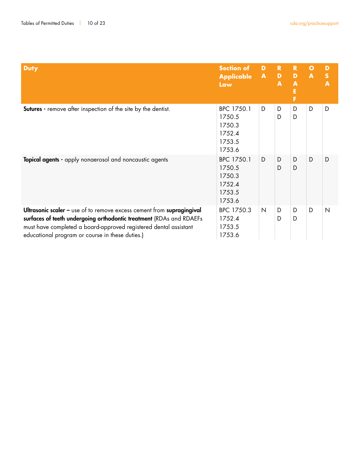| <b>Duty</b>                                                                                                                                                                                                                                                         | <b>Section of</b><br><b>Applicable A</b><br><b>Law</b>       | D            | $\mathbf R$<br>$\mathbf{D}$<br>A | $\mathbf R$<br>D<br>A<br>F | $\mathbf{o}$<br>$\blacktriangle$ | D<br>S<br>$\blacktriangle$ |
|---------------------------------------------------------------------------------------------------------------------------------------------------------------------------------------------------------------------------------------------------------------------|--------------------------------------------------------------|--------------|----------------------------------|----------------------------|----------------------------------|----------------------------|
| <b>Sutures</b> - remove after inspection of the site by the dentist.                                                                                                                                                                                                | BPC 1750.1<br>1750.5<br>1750.3<br>1752.4<br>1753.5<br>1753.6 | D            | D<br>D                           | D<br>D                     | D                                | D                          |
| Topical agents - apply nonaerosol and noncaustic agents                                                                                                                                                                                                             | BPC 1750.1<br>1750.5<br>1750.3<br>1752.4<br>1753.5<br>1753.6 | D            | D<br>D                           | D<br>D                     | D                                | D                          |
| Ultrasonic scaler - use of to remove excess cement from supragingival<br>surfaces of teeth undergoing orthodontic treatment (RDAs and RDAEFs<br>must have completed a board-approved registered dental assistant<br>educational program or course in these duties.) | BPC 1750.3<br>1752.4<br>1753.5<br>1753.6                     | $\mathsf{N}$ | D<br>D                           | D<br>D                     | D                                | $\mathsf{N}$               |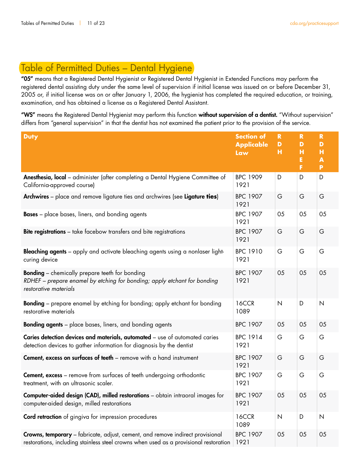# Table of Permitted Duties – Dental Hygiene

"05" means that a Registered Dental Hygienist or Registered Dental Hygienist in Extended Functions may perform the registered dental assisting duty under the same level of supervision if initial license was issued on or before December 31, 2005 or, if initial license was on or after January 1, 2006, the hygienist has completed the required education, or training, examination, and has obtained a license as a Registered Dental Assistant.

"WS" means the Registered Dental Hygienist may perform this function without supervision of a dentist. "Without supervision" differs from "general supervision" in that the dentist has not examined the patient prior to the provision of the service.

| <b>Duty</b>                                                                                                                                                             | <b>Section of</b><br><b>Applicable</b><br>Law | $\mathbf R$<br>D<br>н | $\mathbf R$<br>D<br>H<br>E<br>F | R<br>D<br>н<br>A<br>P |
|-------------------------------------------------------------------------------------------------------------------------------------------------------------------------|-----------------------------------------------|-----------------------|---------------------------------|-----------------------|
| Anesthesia, local - administer (after completing a Dental Hygiene Committee of<br>California-approved course)                                                           | <b>BPC 1909</b><br>1921                       | D                     | D                               | D                     |
| Archwires - place and remove ligature ties and archwires (see Ligature ties)                                                                                            | <b>BPC 1907</b><br>1921                       | G                     | G                               | G                     |
| <b>Bases</b> – place bases, liners, and bonding agents                                                                                                                  | <b>BPC 1907</b><br>1921                       | 05                    | 05                              | 05                    |
| <b>Bite registrations</b> – take facebow transfers and bite registrations                                                                                               | <b>BPC 1907</b><br>1921                       | G                     | G                               | G                     |
| <b>Bleaching agents</b> – apply and activate bleaching agents using a nonlaser light-<br>curing device                                                                  | <b>BPC 1910</b><br>1921                       | G                     | G                               | G                     |
| <b>Bonding</b> - chemically prepare teeth for bonding<br>RDHEF – prepare enamel by etching for bonding; apply etchant for bonding<br>restorative materials              | <b>BPC 1907</b><br>1921                       | 05                    | 05                              | 05                    |
| <b>Bonding</b> – prepare enamel by etching for bonding; apply etchant for bonding<br>restorative materials                                                              | 16CCR<br>1089                                 | $\overline{N}$        | D                               | $\mathsf{N}$          |
| <b>Bonding agents</b> – place bases, liners, and bonding agents                                                                                                         | <b>BPC 1907</b>                               | 05                    | 05                              | 05                    |
| Caries detection devices and materials, automated - use of automated caries<br>detection devices to gather information for diagnosis by the dentist                     | <b>BPC 1914</b><br>1921                       | G                     | G                               | G                     |
| Cement, excess on surfaces of teeth - remove with a hand instrument                                                                                                     | <b>BPC 1907</b><br>1921                       | G                     | G                               | G                     |
| <b>Cement, excess</b> - remove from surfaces of teeth undergoing orthodontic<br>treatment, with an ultrasonic scaler.                                                   | <b>BPC 1907</b><br>1921                       | G                     | G                               | G                     |
| <b>Computer-aided design (CAD), milled restorations</b> - obtain intraoral images for<br>computer-aided design, milled restorations                                     | <b>BPC 1907</b><br>1921                       | 05                    | 05                              | 05                    |
| Cord retraction of gingiva for impression procedures                                                                                                                    | <b>16CCR</b><br>1089                          | N                     | D                               | N                     |
| Crowns, temporary - fabricate, adjust, cement, and remove indirect provisional<br>restorations, including stainless steel crowns when used as a provisional restoration | <b>BPC 1907</b><br>1921                       | 05                    | 05                              | 05                    |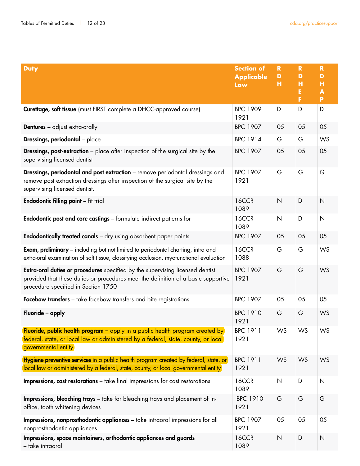| <b>Duty</b>                                                                                                                                                                                                       | <b>Section of</b><br><b>Applicable</b><br>Law | $\mathbf R$<br>D<br>н | $\mathbf R$<br>D<br>н<br>E<br>F | $\mathbf R$<br>D<br>н<br>A<br>P |
|-------------------------------------------------------------------------------------------------------------------------------------------------------------------------------------------------------------------|-----------------------------------------------|-----------------------|---------------------------------|---------------------------------|
| Curettage, soft tissue (must FIRST complete a DHCC-approved course)                                                                                                                                               | <b>BPC 1909</b><br>1921                       | D                     | D                               | D                               |
| <b>Dentures</b> – adjust extra-orally                                                                                                                                                                             | <b>BPC 1907</b>                               | 05                    | 05                              | 05                              |
| <b>Dressings, periodontal</b> - place                                                                                                                                                                             | <b>BPC 1914</b>                               | G                     | G                               | WS                              |
| <b>Dressings, post-extraction</b> – place after inspection of the surgical site by the<br>supervising licensed dentist                                                                                            | <b>BPC 1907</b>                               | 05                    | 05                              | 05                              |
| Dressings, periodontal and post extraction - remove periodontal dressings and<br>remove post extraction dressings after inspection of the surgical site by the<br>supervising licensed dentist.                   | <b>BPC 1907</b><br>1921                       | G                     | G                               | G                               |
| <b>Endodontic filling point</b> - fit trial                                                                                                                                                                       | 16CCR<br>1089                                 | $\overline{N}$        | D                               | $\overline{\mathsf{N}}$         |
| <b>Endodontic post and core castings</b> - formulate indirect patterns for                                                                                                                                        | 16CCR<br>1089                                 | $\mathsf{N}$          | D                               | $\overline{\mathsf{N}}$         |
| <b>Endodontically treated canals</b> - dry using absorbent paper points                                                                                                                                           | <b>BPC 1907</b>                               | 05                    | 05                              | 05                              |
| <b>Exam, preliminary</b> – including but not limited to periodontal charting, intra and<br>extra-oral examination of soft tissue, classifying occlusion, myofunctional evaluation                                 | 16CCR<br>1088                                 | G                     | G                               | WS                              |
| <b>Extra-oral duties or procedures</b> specified by the supervising licensed dentist<br>provided that these duties or procedures meet the definition of a basic supportive<br>procedure specified in Section 1750 | <b>BPC 1907</b><br>1921                       | G                     | G                               | WS                              |
| Facebow transfers - take facebow transfers and bite registrations                                                                                                                                                 | <b>BPC 1907</b>                               | 05                    | 05                              | 05                              |
| Fluoride - apply                                                                                                                                                                                                  | <b>BPC 1910</b><br>1921                       | G                     | G                               | WS                              |
| Fluoride, public health program - apply in a public health program created by<br>federal, state, or local law or administered by a federal, state, county, or local<br>governmental entity                        | <b>BPC 1911</b><br>1921                       | WS                    | WS                              | WS                              |
| Hygiene preventive services in a public health program created by federal, state, or<br>local law or administered by a federal, state, county, or local governmental entity                                       | <b>BPC 1911</b><br>1921                       | WS                    | WS                              | <b>WS</b>                       |
| Impressions, cast restorations - take final impressions for cast restorations                                                                                                                                     | 16CCR<br>1089                                 | $\mathsf{N}$          | D                               | $\mathsf{N}$                    |
| Impressions, bleaching trays - take for bleaching trays and placement of in-<br>office, tooth whitening devices                                                                                                   | <b>BPC 1910</b><br>1921                       | G                     | G                               | G                               |
| Impressions, nonprosthodontic appliances - take intraoral impressions for all<br>nonprosthodontic appliances                                                                                                      | <b>BPC 1907</b><br>1921                       | 05                    | 05                              | 05                              |
| Impressions, space maintainers, orthodontic appliances and guards<br>- take intraoral                                                                                                                             | 16CCR<br>1089                                 | $\overline{N}$        | D                               | $\mathsf{N}$                    |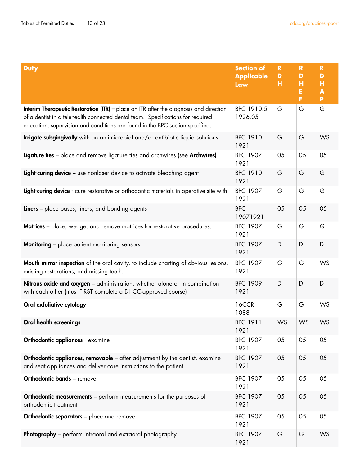| <b>Duty</b>                                                                                                                                                                                                                                                | <b>Section of</b><br><b>Applicable</b><br>Law | $\mathbf R$<br>D<br>н | $\mathbf R$<br>D<br>н<br>Е<br>F | $\mathbf R$<br>D<br>н<br>$\blacktriangle$<br>P |
|------------------------------------------------------------------------------------------------------------------------------------------------------------------------------------------------------------------------------------------------------------|-----------------------------------------------|-----------------------|---------------------------------|------------------------------------------------|
| Interim Therapeutic Restoration (ITR) - place an ITR after the diagnosis and direction<br>of a dentist in a telehealth connected dental team. Specifications for required<br>education, supervision and conditions are found in the BPC section specified. | BPC 1910.5<br>1926.05                         | G                     | G                               | G                                              |
| Irrigate subgingivally with an antimicrobial and/or antibiotic liquid solutions                                                                                                                                                                            | <b>BPC 1910</b><br>1921                       | G                     | G                               | WS                                             |
| Ligature ties - place and remove ligature ties and archwires (see Archwires)                                                                                                                                                                               | <b>BPC 1907</b><br>1921                       | 05                    | 05                              | 05                                             |
| Light-curing device - use nonlaser device to activate bleaching agent                                                                                                                                                                                      | <b>BPC 1910</b><br>1921                       | G                     | G                               | G                                              |
| Light-curing device - cure restorative or orthodontic materials in operative site with                                                                                                                                                                     | <b>BPC 1907</b><br>1921                       | G                     | G                               | G                                              |
| <b>Liners</b> – place bases, liners, and bonding agents                                                                                                                                                                                                    | <b>BPC</b><br>19071921                        | 05                    | 05                              | 05                                             |
| Matrices - place, wedge, and remove matrices for restorative procedures.                                                                                                                                                                                   | <b>BPC 1907</b><br>1921                       | G                     | G                               | G                                              |
| <b>Monitoring</b> - place patient monitoring sensors                                                                                                                                                                                                       | <b>BPC 1907</b><br>1921                       | D                     | D                               | D                                              |
| <b>Mouth-mirror inspection</b> of the oral cavity, to include charting of obvious lesions,<br>existing restorations, and missing teeth.                                                                                                                    | <b>BPC 1907</b><br>1921                       | G                     | G                               | WS                                             |
| Nitrous oxide and oxygen - administration, whether alone or in combination<br>with each other (must FIRST complete a DHCC-approved course)                                                                                                                 | <b>BPC 1909</b><br>1921                       | D                     | D                               | D                                              |
| Oral exfoliative cytology                                                                                                                                                                                                                                  | <b>16CCR</b><br>1088                          | G                     | G                               | WS                                             |
| <b>Oral health screenings</b>                                                                                                                                                                                                                              | <b>BPC 1911</b><br>1921                       | WS                    | WS                              | WS                                             |
| Orthodontic appliances - examine                                                                                                                                                                                                                           | <b>BPC 1907</b><br>1921                       | 05                    | 05                              | 05                                             |
| Orthodontic appliances, removable - after adjustment by the dentist, examine<br>and seat appliances and deliver care instructions to the patient                                                                                                           | <b>BPC 1907</b><br>1921                       | 05                    | 05                              | 05                                             |
| Orthodontic bands - remove                                                                                                                                                                                                                                 | <b>BPC 1907</b><br>1921                       | 05                    | 05                              | 05                                             |
| <b>Orthodontic measurements</b> – perform measurements for the purposes of<br>orthodontic treatment                                                                                                                                                        | <b>BPC 1907</b><br>1921                       | 05                    | 05                              | 05                                             |
| <b>Orthodontic separators</b> - place and remove                                                                                                                                                                                                           | <b>BPC 1907</b><br>1921                       | 05                    | 05                              | 05                                             |
| Photography - perform intraoral and extraoral photography                                                                                                                                                                                                  | <b>BPC 1907</b><br>1921                       | G                     | G                               | WS                                             |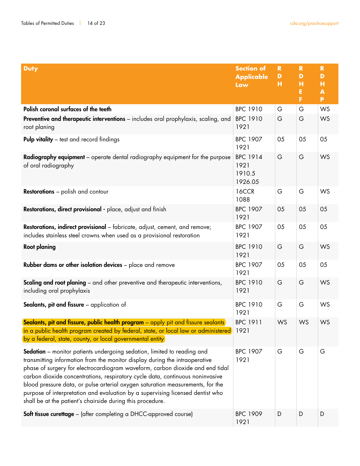| <b>Duty</b>                                                                                                                                                                                                                                                                                                                                                                                                                                                                                                                                                | <b>Section of</b><br><b>Applicable</b><br>Law | $\mathbf R$<br>D<br>н | $\mathbf R$<br>D<br>н<br>E<br>F | $\mathbf R$<br>D<br>н<br>$\blacktriangle$<br>P |
|------------------------------------------------------------------------------------------------------------------------------------------------------------------------------------------------------------------------------------------------------------------------------------------------------------------------------------------------------------------------------------------------------------------------------------------------------------------------------------------------------------------------------------------------------------|-----------------------------------------------|-----------------------|---------------------------------|------------------------------------------------|
| Polish coronal surfaces of the teeth                                                                                                                                                                                                                                                                                                                                                                                                                                                                                                                       | <b>BPC 1910</b>                               | G                     | G                               | WS                                             |
| Preventive and therapeutic interventions - includes oral prophylaxis, scaling, and<br>root planing                                                                                                                                                                                                                                                                                                                                                                                                                                                         | <b>BPC 1910</b><br>1921                       | G                     | G                               | WS                                             |
| <b>Pulp vitality</b> – test and record findings                                                                                                                                                                                                                                                                                                                                                                                                                                                                                                            | <b>BPC 1907</b><br>1921                       | 05                    | 05                              | 05                                             |
| Radiography equipment - operate dental radiography equipment for the purpose<br>of oral radiography                                                                                                                                                                                                                                                                                                                                                                                                                                                        | <b>BPC 1914</b><br>1921<br>1910.5<br>1926.05  | G                     | G                               | WS                                             |
| <b>Restorations</b> – polish and contour                                                                                                                                                                                                                                                                                                                                                                                                                                                                                                                   | <b>16CCR</b><br>1088                          | G                     | G                               | WS                                             |
| Restorations, direct provisional - place, adjust and finish                                                                                                                                                                                                                                                                                                                                                                                                                                                                                                | <b>BPC 1907</b><br>1921                       | 05                    | 05                              | 05                                             |
| Restorations, indirect provisional - fabricate, adjust, cement, and remove;<br>includes stainless steel crowns when used as a provisional restoration                                                                                                                                                                                                                                                                                                                                                                                                      | <b>BPC 1907</b><br>1921                       | 05                    | 05                              | 05                                             |
| <b>Root planing</b>                                                                                                                                                                                                                                                                                                                                                                                                                                                                                                                                        | <b>BPC 1910</b><br>1921                       | G                     | G                               | WS                                             |
| Rubber dams or other isolation devices - place and remove                                                                                                                                                                                                                                                                                                                                                                                                                                                                                                  | <b>BPC 1907</b><br>1921                       | 05                    | 05                              | 05                                             |
| <b>Scaling and root planing</b> – and other preventive and therapeutic interventions,<br>including oral prophylaxis                                                                                                                                                                                                                                                                                                                                                                                                                                        | <b>BPC 1910</b><br>1921                       | G                     | G                               | WS                                             |
| Sealants, pit and fissure - application of                                                                                                                                                                                                                                                                                                                                                                                                                                                                                                                 | <b>BPC 1910</b><br>1921                       | G                     | G                               | WS                                             |
| Sealants, pit and fissure, public health program - apply pit and fissure sealants<br>in a public health program created by federal, state, or local law or administered)<br>by a federal, state, county, or local governmental entity                                                                                                                                                                                                                                                                                                                      | <b>BPC 1911</b><br>1921                       | WS                    | WS                              | WS                                             |
| Sedation - monitor patients undergoing sedation, limited to reading and<br>transmitting information from the monitor display during the intraoperative<br>phase of surgery for electrocardiogram waveform, carbon dioxide and end tidal<br>carbon dioxide concentrations, respiratory cycle data, continuous noninvasive<br>blood pressure data, or pulse arterial oxygen saturation measurements, for the<br>purpose of interpretation and evaluation by a supervising licensed dentist who<br>shall be at the patient's chairside during this procedure. | <b>BPC 1907</b><br>1921                       | G                     | G                               | G                                              |
| <b>Soft tissue curettage</b> - (after completing a DHCC-approved course)                                                                                                                                                                                                                                                                                                                                                                                                                                                                                   | <b>BPC 1909</b><br>1921                       | D                     | D                               | D                                              |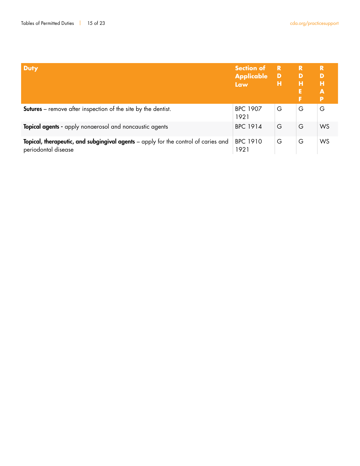| <b>Duty</b>                                                                                               | <b>Section of</b><br><b>Applicable</b><br><b>Law</b> | R<br>D<br>н | R.<br>D<br>н<br>E<br>F | R<br>D<br>н<br>A<br>P |
|-----------------------------------------------------------------------------------------------------------|------------------------------------------------------|-------------|------------------------|-----------------------|
| <b>Sutures</b> – remove after inspection of the site by the dentist.                                      | <b>BPC 1907</b><br>1921                              | G           | G                      | G                     |
| Topical agents - apply nonaerosol and noncaustic agents                                                   | <b>BPC 1914</b>                                      | G           | G                      | WS                    |
| Topical, therapeutic, and subgingival agents - apply for the control of caries and<br>periodontal disease | <b>BPC 1910</b><br>1921                              | G           | G                      | WS                    |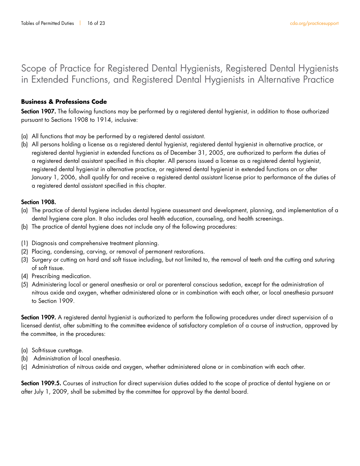# Scope of Practice for Registered Dental Hygienists, Registered Dental Hygienists in Extended Functions, and Registered Dental Hygienists in Alternative Practice

#### **Business & Professions Code**

Section 1907. The following functions may be performed by a registered dental hygienist, in addition to those authorized pursuant to Sections 1908 to 1914, inclusive:

- (a) All functions that may be performed by a registered dental assistant.
- (b) All persons holding a license as a registered dental hygienist, registered dental hygienist in alternative practice, or registered dental hygienist in extended functions as of December 31, 2005, are authorized to perform the duties of a registered dental assistant specified in this chapter. All persons issued a license as a registered dental hygienist, registered dental hygienist in alternative practice, or registered dental hygienist in extended functions on or after January 1, 2006, shall qualify for and receive a registered dental assistant license prior to performance of the duties of a registered dental assistant specified in this chapter.

#### Section 1908.

- (a) The practice of dental hygiene includes dental hygiene assessment and development, planning, and implementation of a dental hygiene care plan. It also includes oral health education, counseling, and health screenings.
- (b) The practice of dental hygiene does not include any of the following procedures:
- (1) Diagnosis and comprehensive treatment planning.
- (2) Placing, condensing, carving, or removal of permanent restorations.
- (3) Surgery or cutting on hard and soft tissue including, but not limited to, the removal of teeth and the cutting and suturing of soft tissue.
- (4) Prescribing medication.
- (5) Administering local or general anesthesia or oral or parenteral conscious sedation, except for the administration of nitrous oxide and oxygen, whether administered alone or in combination with each other, or local anesthesia pursuant to Section 1909.

Section 1909. A registered dental hygienist is authorized to perform the following procedures under direct supervision of a licensed dentist, after submitting to the committee evidence of satisfactory completion of a course of instruction, approved by the committee, in the procedures:

- (a) Soft-tissue curettage.
- (b) Administration of local anesthesia.
- (c) Administration of nitrous oxide and oxygen, whether administered alone or in combination with each other.

Section 1909.5. Courses of instruction for direct supervision duties added to the scope of practice of dental hygiene on or after July 1, 2009, shall be submitted by the committee for approval by the dental board.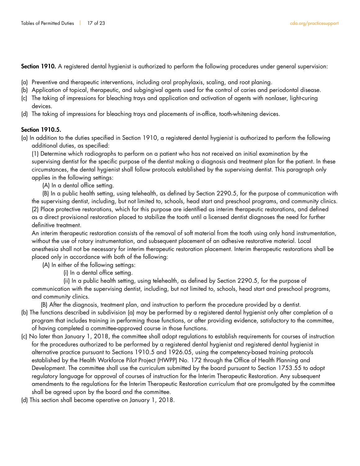Section 1910. A registered dental hygienist is authorized to perform the following procedures under general supervision:

- (a) Preventive and therapeutic interventions, including oral prophylaxis, scaling, and root planing.
- (b) Application of topical, therapeutic, and subgingival agents used for the control of caries and periodontal disease.
- (c) The taking of impressions for bleaching trays and application and activation of agents with nonlaser, light-curing devices.
- (d) The taking of impressions for bleaching trays and placements of in-office, tooth-whitening devices.

### Section 1910.5.

(a) In addition to the duties specified in Section 1910, a registered dental hygienist is authorized to perform the following additional duties, as specified:

(1) Determine which radiographs to perform on a patient who has not received an initial examination by the supervising dentist for the specific purpose of the dentist making a diagnosis and treatment plan for the patient. In these circumstances, the dental hygienist shall follow protocols established by the supervising dentist. This paragraph only applies in the following settings:

(A) In a dental office setting.

 (B) In a public health setting, using telehealth, as defined by Section 2290.5, for the purpose of communication with the supervising dentist, including, but not limited to, schools, head start and preschool programs, and community clinics. (2) Place protective restorations, which for this purpose are identified as interim therapeutic restorations, and defined as a direct provisional restoration placed to stabilize the tooth until a licensed dentist diagnoses the need for further definitive treatment.

An interim therapeutic restoration consists of the removal of soft material from the tooth using only hand instrumentation, without the use of rotary instrumentation, and subsequent placement of an adhesive restorative material. Local anesthesia shall not be necessary for interim therapeutic restoration placement. Interim therapeutic restorations shall be placed only in accordance with both of the following:

(A) In either of the following settings:

(i) In a dental office setting.

 (ii) In a public health setting, using telehealth, as defined by Section 2290.5, for the purpose of communication with the supervising dentist, including, but not limited to, schools, head start and preschool programs, and community clinics.

(B) After the diagnosis, treatment plan, and instruction to perform the procedure provided by a dentist.

- (b) The functions described in subdivision (a) may be performed by a registered dental hygienist only after completion of a program that includes training in performing those functions, or after providing evidence, satisfactory to the committee, of having completed a committee-approved course in those functions.
- (c) No later than January 1, 2018, the committee shall adopt regulations to establish requirements for courses of instruction for the procedures authorized to be performed by a registered dental hygienist and registered dental hygienist in alternative practice pursuant to Sections 1910.5 and 1926.05, using the competency-based training protocols established by the Health Workforce Pilot Project (HWPP) No. 172 through the Office of Health Planning and Development. The committee shall use the curriculum submitted by the board pursuant to Section 1753.55 to adopt regulatory language for approval of courses of instruction for the Interim Therapeutic Restoration. Any subsequent amendments to the regulations for the Interim Therapeutic Restoration curriculum that are promulgated by the committee shall be agreed upon by the board and the committee.
- (d) This section shall become operative on January 1, 2018.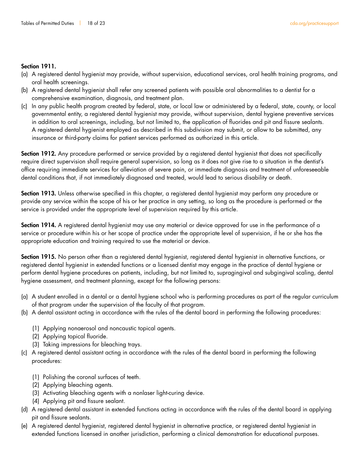#### Section 1911.

- (a) A registered dental hygienist may provide, without supervision, educational services, oral health training programs, and oral health screenings.
- (b) A registered dental hygienist shall refer any screened patients with possible oral abnormalities to a dentist for a comprehensive examination, diagnosis, and treatment plan.
- (c) In any public health program created by federal, state, or local law or administered by a federal, state, county, or local governmental entity, a registered dental hygienist may provide, without supervision, dental hygiene preventive services in addition to oral screenings, including, but not limited to, the application of fluorides and pit and fissure sealants. A registered dental hygienist employed as described in this subdivision may submit, or allow to be submitted, any insurance or third-party claims for patient services performed as authorized in this article.

Section 1912. Any procedure performed or service provided by a registered dental hygienist that does not specifically require direct supervision shall require general supervision, so long as it does not give rise to a situation in the dentist's office requiring immediate services for alleviation of severe pain, or immediate diagnosis and treatment of unforeseeable dental conditions that, if not immediately diagnosed and treated, would lead to serious disability or death.

Section 1913. Unless otherwise specified in this chapter, a registered dental hygienist may perform any procedure or provide any service within the scope of his or her practice in any setting, so long as the procedure is performed or the service is provided under the appropriate level of supervision required by this article.

Section 1914. A registered dental hygienist may use any material or device approved for use in the performance of a service or procedure within his or her scope of practice under the appropriate level of supervision, if he or she has the appropriate education and training required to use the material or device.

Section 1915. No person other than a registered dental hygienist, registered dental hygienist in alternative functions, or registered dental hygienist in extended functions or a licensed dentist may engage in the practice of dental hygiene or perform dental hygiene procedures on patients, including, but not limited to, supragingival and subgingival scaling, dental hygiene assessment, and treatment planning, except for the following persons:

- (a) A student enrolled in a dental or a dental hygiene school who is performing procedures as part of the regular curriculum of that program under the supervision of the faculty of that program.
- (b) A dental assistant acting in accordance with the rules of the dental board in performing the following procedures:
	- (1) Applying nonaerosol and noncaustic topical agents.
	- (2) Applying topical fluoride.
	- (3) Taking impressions for bleaching trays.
- (c) A registered dental assistant acting in accordance with the rules of the dental board in performing the following procedures:
	- (1) Polishing the coronal surfaces of teeth.
	- (2) Applying bleaching agents.
	- (3) Activating bleaching agents with a nonlaser light-curing device.
	- (4) Applying pit and fissure sealant.
- (d) A registered dental assistant in extended functions acting in accordance with the rules of the dental board in applying pit and fissure sealants.
- (e) A registered dental hygienist, registered dental hygienist in alternative practice, or registered dental hygienist in extended functions licensed in another jurisdiction, performing a clinical demonstration for educational purposes.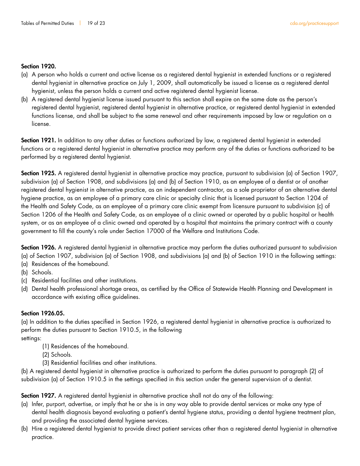#### Section 1920.

- (a) A person who holds a current and active license as a registered dental hygienist in extended functions or a registered dental hygienist in alternative practice on July 1, 2009, shall automatically be issued a license as a registered dental hygienist, unless the person holds a current and active registered dental hygienist license.
- (b) A registered dental hygienist license issued pursuant to this section shall expire on the same date as the person's registered dental hygienist, registered dental hygienist in alternative practice, or registered dental hygienist in extended functions license, and shall be subject to the same renewal and other requirements imposed by law or regulation on a license.

Section 1921. In addition to any other duties or functions authorized by law, a registered dental hygienist in extended functions or a registered dental hygienist in alternative practice may perform any of the duties or functions authorized to be performed by a registered dental hygienist.

Section 1925. A registered dental hygienist in alternative practice may practice, pursuant to subdivision (a) of Section 1907, subdivision (a) of Section 1908, and subdivisions (a) and (b) of Section 1910, as an employee of a dentist or of another registered dental hygienist in alternative practice, as an independent contractor, as a sole proprietor of an alternative dental hygiene practice, as an employee of a primary care clinic or specialty clinic that is licensed pursuant to Section 1204 of the Health and Safety Code, as an employee of a primary care clinic exempt from licensure pursuant to subdivision (c) of Section 1206 of the Health and Safety Code, as an employee of a clinic owned or operated by a public hospital or health system, or as an employee of a clinic owned and operated by a hospital that maintains the primary contract with a county government to fill the county's role under Section 17000 of the Welfare and Institutions Code.

Section 1926. A registered dental hygienist in alternative practice may perform the duties authorized pursuant to subdivision (a) of Section 1907, subdivision (a) of Section 1908, and subdivisions (a) and (b) of Section 1910 in the following settings:

- (a) Residences of the homebound.
- (b) Schools.
- (c) Residential facilities and other institutions.
- (d) Dental health professional shortage areas, as certified by the Office of Statewide Health Planning and Development in accordance with existing office guidelines.

#### Section 1926.05.

(a) In addition to the duties specified in Section 1926, a registered dental hygienist in alternative practice is authorized to perform the duties pursuant to Section 1910.5, in the following

settings:

- (1) Residences of the homebound.
- (2) Schools.
- (3) Residential facilities and other institutions.

(b) A registered dental hygienist in alternative practice is authorized to perform the duties pursuant to paragraph (2) of subdivision (a) of Section 1910.5 in the settings specified in this section under the general supervision of a dentist.

Section 1927. A registered dental hygienist in alternative practice shall not do any of the following:

- (a) Infer, purport, advertise, or imply that he or she is in any way able to provide dental services or make any type of dental health diagnosis beyond evaluating a patient's dental hygiene status, providing a dental hygiene treatment plan, and providing the associated dental hygiene services.
- (b) Hire a registered dental hygienist to provide direct patient services other than a registered dental hygienist in alternative practice.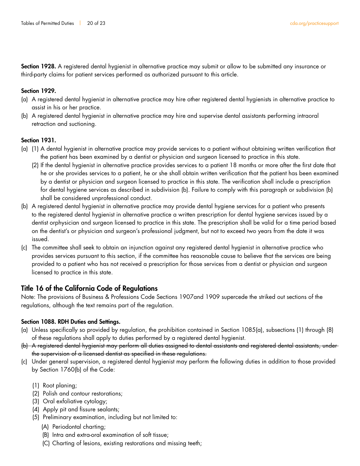Section 1928. A registered dental hygienist in alternative practice may submit or allow to be submitted any insurance or third-party claims for patient services performed as authorized pursuant to this article.

#### Section 1929.

- (a) A registered dental hygienist in alternative practice may hire other registered dental hygienists in alternative practice to assist in his or her practice.
- (b) A registered dental hygienist in alternative practice may hire and supervise dental assistants performing intraoral retraction and suctioning.

#### Section 1931.

- (a) (1) A dental hygienist in alternative practice may provide services to a patient without obtaining written verification that the patient has been examined by a dentist or physician and surgeon licensed to practice in this state.
	- (2) If the dental hygienist in alternative practice provides services to a patient 18 months or more after the first date that he or she provides services to a patient, he or she shall obtain written verification that the patient has been examined by a dentist or physician and surgeon licensed to practice in this state. The verification shall include a prescription for dental hygiene services as described in subdivision (b). Failure to comply with this paragraph or subdivision (b) shall be considered unprofessional conduct.
- (b) A registered dental hygienist in alternative practice may provide dental hygiene services for a patient who presents to the registered dental hygienist in alternative practice a written prescription for dental hygiene services issued by a dentist orphysician and surgeon licensed to practice in this state. The prescription shall be valid for a time period based on the dentist's or physician and surgeon's professional judgment, but not to exceed two years from the date it was issued.
- (c) The committee shall seek to obtain an injunction against any registered dental hygienist in alternative practice who provides services pursuant to this section, if the committee has reasonable cause to believe that the services are being provided to a patient who has not received a prescription for those services from a dentist or physician and surgeon licensed to practice in this state.

### Title 16 of the California Code of Regulations

Note: The provisions of Business & Professions Code Sections 1907and 1909 supercede the striked out sections of the regulations, although the text remains part of the regulation.

#### Section 1088. RDH Duties and Settings.

- (a) Unless specifically so provided by regulation, the prohibition contained in Section 1085(a), subsections (1) through (8) of these regulations shall apply to duties performed by a registered dental hygienist.
- (b) A registered dental hygienist may perform all duties assigned to dental assistants and registered dental assistants, under the supervision of a licensed dentist as specified in these regulations.
- (c) Under general supervision, a registered dental hygienist may perform the following duties in addition to those provided by Section 1760(b) of the Code:
	- (1) Root planing;
	- (2) Polish and contour restorations;
	- (3) Oral exfoliative cytology;
	- (4) Apply pit and fissure sealants;
	- (5) Preliminary examination, including but not limited to:
		- (A) Periodontal charting;
		- (B) Intra and extra-oral examination of soft tissue;
		- (C) Charting of lesions, existing restorations and missing teeth;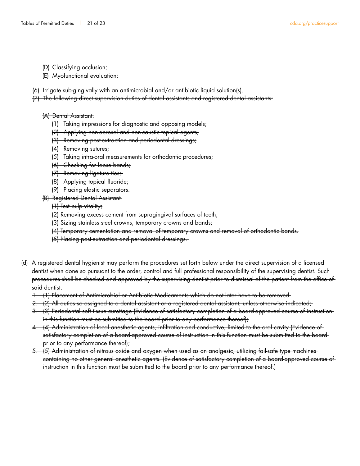- (D) Classifying occlusion;
- (E) Myofunctional evaluation;
- (6) Irrigate sub-gingivally with an antimicrobial and/or antibiotic liquid solution(s).

(7) The following direct supervision duties of dental assistants and registered dental assistants:

- (A) Dental Assistant.
	- (1) Taking impressions for diagnostic and opposing models;
	- (2) Applying non-aerosol and non-caustic topical agents;
	- (3) Removing post-extraction and periodontal dressings;
	- (4) Removing sutures;
	- (5) Taking intra-oral measurements for orthodontic procedures;
	- (6) Checking for loose bands;
	- (7) Removing ligature ties;
	- (8) Applying topical fluoride;
	- (9) Placing elastic separators.
- (B) Registered Dental Assistant
	- (1) Test pulp vitality;
	- (2) Removing excess cement from supragingival surfaces of teeth;
	- (3) Sizing stainless steel crowns, temporary crowns and bands;
	- (4) Temporary cementation and removal of temporary crowns and removal of orthodontic bands.
	- (5) Placing post-extraction and periodontal dressings.
- (d) A registered dental hygienist may perform the procedures set forth below under the direct supervision of a licensed dentist when done so pursuant to the order, control and full professional responsibility of the supervising dentist. Such procedures shall be checked and approved by the supervising dentist prior to dismissal of the patient from the office of said dentist.
	- 1. (1) Placement of Antimicrobial or Antibiotic Medicaments which do not later have to be removed.
	- 2. (2) All duties so assigned to a dental assistant or a registered dental assistant, unless otherwise indicated;
	- 3. (3) Periodontal soft tissue curettage (Evidence of satisfactory completion of a board-approved course of instruction in this function must be submitted to the board prior to any performance thereof);
	- 4. (4) Administration of local anesthetic agents, infiltration and conductive, limited to the oral cavity (Evidence of satisfactory completion of a board-approved course of instruction in this function must be submitted to the board prior to any performance thereof);
	- 5. (5) Administration of nitrous oxide and oxygen when used as an analgesic, utilizing fail-safe type machines containing no other general anesthetic agents. (Evidence of satisfactory completion of a board-approved course of instruction in this function must be submitted to the board prior to any performance thereof.)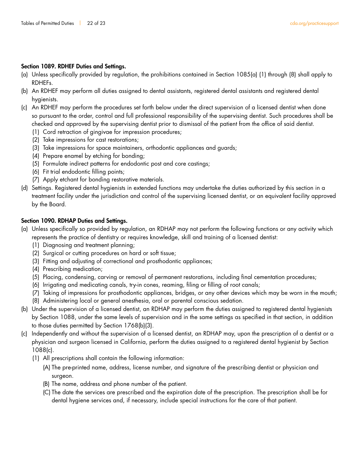#### Section 1089. RDHEF Duties and Settings.

- (a) Unless specifically provided by regulation, the prohibitions contained in Section 1085(a) (1) through (8) shall apply to RDHEFs.
- (b) An RDHEF may perform all duties assigned to dental assistants, registered dental assistants and registered dental hygienists.
- (c) An RDHEF may perform the procedures set forth below under the direct supervision of a licensed dentist when done so pursuant to the order, control and full professional responsibility of the supervising dentist. Such procedures shall be checked and approved by the supervising dentist prior to dismissal of the patient from the office of said dentist.
	- (1) Cord retraction of gingivae for impression procedures;
	- (2) Take impressions for cast restorations;
	- (3) Take impressions for space maintainers, orthodontic appliances and guards;
	- (4) Prepare enamel by etching for bonding;
	- (5) Formulate indirect patterns for endodontic post and core castings;
	- (6) Fit trial endodontic filling points;
	- (7) Apply etchant for bonding restorative materials.
- (d) Settings. Registered dental hygienists in extended functions may undertake the duties authorized by this section in a treatment facility under the jurisdiction and control of the supervising licensed dentist, or an equivalent facility approved by the Board.

#### Section 1090. RDHAP Duties and Settings.

- (a) Unless specifically so provided by regulation, an RDHAP may not perform the following functions or any activity which represents the practice of dentistry or requires knowledge, skill and training of a licensed dentist:
	- (1) Diagnosing and treatment planning;
	- (2) Surgical or cutting procedures on hard or soft tissue;
	- (3) Fitting and adjusting of correctional and prosthodontic appliances;
	- (4) Prescribing medication;
	- (5) Placing, condensing, carving or removal of permanent restorations, including final cementation procedures;
	- (6) Irrigating and medicating canals, try-in cones, reaming, filing or filling of root canals;
	- (7) Taking of impressions for prosthodontic appliances, bridges, or any other devices which may be worn in the mouth;
	- (8) Administering local or general anesthesia, oral or parental conscious sedation.
- (b) Under the supervision of a licensed dentist, an RDHAP may perform the duties assigned to registered dental hygienists by Section 1088, under the same levels of supervision and in the same settings as specified in that section, in addition to those duties permitted by Section 1768(b)(3).
- (c) Independently and without the supervision of a licensed dentist, an RDHAP may, upon the prescription of a dentist or a physician and surgeon licensed in California, perform the duties assigned to a registered dental hygienist by Section 1088(c).
	- (1) All prescriptions shall contain the following information:
		- (A) The pre-printed name, address, license number, and signature of the prescribing dentist or physician and surgeon.
		- (B) The name, address and phone number of the patient.
		- (C) The date the services are prescribed and the expiration date of the prescription. The prescription shall be for dental hygiene services and, if necessary, include special instructions for the care of that patient.